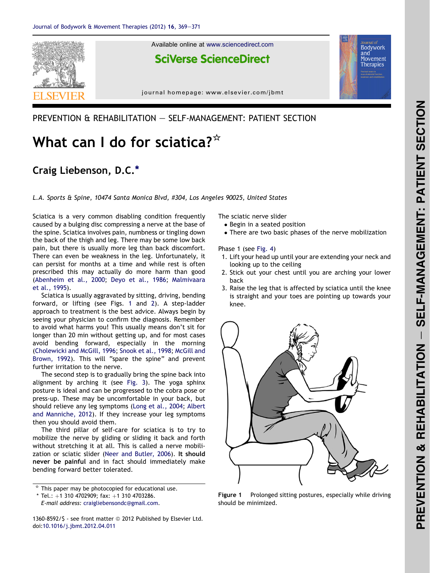

### PREVENTION & REHABILITATION - SELF-MANAGEMENT: PATIENT SECTION

# What can I do for sciatica? $*$

## Craig Liebenson, D.C.\*

L.A. Sports & Spine, 10474 Santa Monica Blvd, #304, Los Angeles 90025, United States

Sciatica is a very common disabling condition frequently caused by a bulging disc compressing a nerve at the base of the spine. Sciatica involves pain, numbness or tingling down the back of the thigh and leg. There may be some low back pain, but there is usually more leg than back discomfort. There can even be weakness in the leg. Unfortunately, it can persist for months at a time and while rest is often prescribed this may actually do more harm than good ([Abenheim et al., 2000](#page-2-0); [Deyo et al., 1986](#page-2-0); [Malmivaara](#page-2-0) [et al., 1995](#page-2-0)).

Sciatica is usually aggravated by sitting, driving, bending forward, or lifting (see Figs. 1 and [2](#page-1-0)). A step-ladder approach to treatment is the best advice. Always begin by seeing your physician to confirm the diagnosis. Remember to avoid what harms you! This usually means don't sit for longer than 20 min without getting up, and for most cases avoid bending forward, especially in the morning ([Cholewicki and McGill, 1996](#page-2-0); [Snook et al., 1998](#page-2-0); [McGill and](#page-2-0) [Brown, 1992\)](#page-2-0). This will "spare the spine" and prevent further irritation to the nerve.

The second step is to gradually bring the spine back into alignment by arching it (see [Fig. 3\)](#page-1-0). The yoga sphinx posture is ideal and can be progressed to the cobra pose or press-up. These may be uncomfortable in your back, but should relieve any leg symptoms [\(Long et al., 2004](#page-2-0); [Albert](#page-2-0) [and Manniche, 2012\)](#page-2-0). If they increase your leg symptoms then you should avoid them.

The third pillar of self-care for sciatica is to try to mobilize the nerve by gliding or sliding it back and forth without stretching it at all. This is called a nerve mobilization or sciatic slider [\(Neer and Butler, 2006\)](#page-2-0). It should never be painful and in fact should immediately make bending forward better tolerated.

E-mail address: [craigliebensondc@gmail.com.](mailto:craigliebensondc@gmail.com)

1360-8592/\$ - see front matter @ 2012 Published by Elsevier Ltd. doi[:10.1016/j.jbmt.2012.04.011](http://dx.doi.org/10.1016/j.jbmt.2012.04.011)

The sciatic nerve slider

- Begin in a seated position
- There are two basic phases of the nerve mobilization

Phase 1 (see [Fig. 4\)](#page-1-0)

- 1. Lift your head up until your are extending your neck and looking up to the ceiling
- 2. Stick out your chest until you are arching your lower back
- 3. Raise the leg that is affected by sciatica until the knee is straight and your toes are pointing up towards your knee.



Figure 1 Prolonged sitting postures, especially while driving should be minimized.

This paper may be photocopied for educational use.

 $*$  Tel.: +1 310 4702909; fax: +1 310 4703286.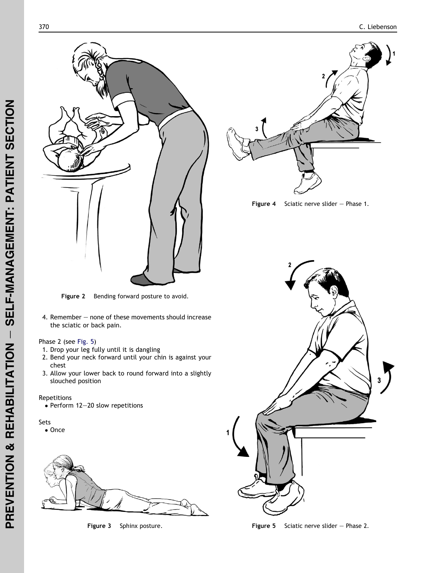<span id="page-1-0"></span>

Figure 2 Bending forward posture to avoid.

4. Remember - none of these movements should increase the sciatic or back pain.

#### Phase 2 (see Fig. 5 )

- 1. Drop your leg fully until it is dangling
- 2. Bend your neck forward until your chin is against your chest
- 3. Allow your lower back to round forward into a slightly slouched position

#### Repetitions

• Perform 12-20 slow repetitions

#### Sets

• Once



Figure 3 Sphinx posture.







Figure 5 Sciatic nerve slider  $-$  Phase 2.